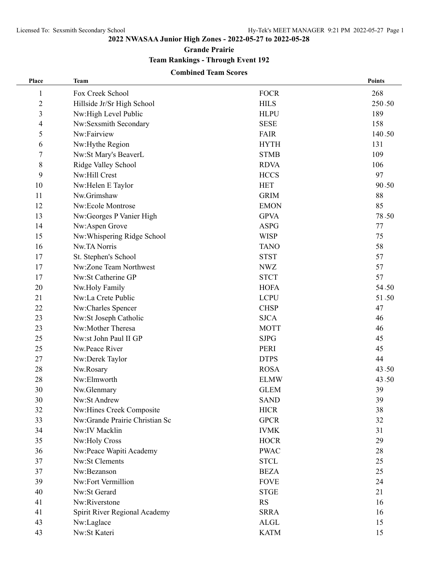**Grande Prairie**

**Team Rankings - Through Event 192**

### **Combined Team Scores**

| Place          | <b>Team</b>                    |             | <b>Points</b> |
|----------------|--------------------------------|-------------|---------------|
| 1              | Fox Creek School               | <b>FOCR</b> | 268           |
| $\overline{c}$ | Hillside Jr/Sr High School     | <b>HILS</b> | 250.50        |
| 3              | Nw:High Level Public           | <b>HLPU</b> | 189           |
| 4              | Nw:Sexsmith Secondary          | <b>SESE</b> | 158           |
| 5              | Nw:Fairview                    | <b>FAIR</b> | 140.50        |
| 6              | Nw:Hythe Region                | <b>HYTH</b> | 131           |
| 7              | Nw:St Mary's BeaverL           | <b>STMB</b> | 109           |
| 8              | Ridge Valley School            | <b>RDVA</b> | 106           |
| 9              | Nw:Hill Crest                  | <b>HCCS</b> | 97            |
| 10             | Nw:Helen E Taylor              | <b>HET</b>  | 90.50         |
| 11             | Nw.Grimshaw                    | <b>GRIM</b> | 88            |
| 12             | Nw:Ecole Montrose              | <b>EMON</b> | 85            |
| 13             | Nw:Georges P Vanier High       | <b>GPVA</b> | 78.50         |
| 14             | Nw:Aspen Grove                 | <b>ASPG</b> | 77            |
| 15             | Nw:Whispering Ridge School     | <b>WISP</b> | 75            |
| 16             | Nw.TA Norris                   | <b>TANO</b> | 58            |
| 17             | St. Stephen's School           | <b>STST</b> | 57            |
| 17             | Nw:Zone Team Northwest         | <b>NWZ</b>  | 57            |
| 17             | Nw:St Catherine GP             | <b>STCT</b> | 57            |
| 20             | Nw.Holy Family                 | <b>HOFA</b> | 54.50         |
| 21             | Nw:La Crete Public             | <b>LCPU</b> | 51.50         |
| 22             | Nw:Charles Spencer             | <b>CHSP</b> | 47            |
| 23             | Nw:St Joseph Catholic          | <b>SJCA</b> | 46            |
| 23             | Nw:Mother Theresa              | <b>MOTT</b> | 46            |
| 25             | Nw:st John Paul II GP          | <b>SJPG</b> | 45            |
| 25             | Nw.Peace River                 | PERI        | 45            |
| 27             | Nw:Derek Taylor                | <b>DTPS</b> | 44            |
| 28             | Nw.Rosary                      | <b>ROSA</b> | 43.50         |
| 28             | Nw:Elmworth                    | <b>ELMW</b> | 43.50         |
| 30             | Nw.Glenmary                    | <b>GLEM</b> | 39            |
| 30             | Nw:St Andrew                   | <b>SAND</b> | 39            |
| 32             | Nw:Hines Creek Composite       | <b>HICR</b> | 38            |
| 33             | Nw:Grande Prairie Christian Sc | <b>GPCR</b> | 32            |
| 34             | Nw:IV Macklin                  | <b>IVMK</b> | 31            |
| 35             | Nw:Holy Cross                  | <b>HOCR</b> | 29            |
| 36             | Nw:Peace Wapiti Academy        | <b>PWAC</b> | 28            |
| 37             | Nw:St Clements                 | <b>STCL</b> | 25            |
| 37             | Nw:Bezanson                    | <b>BEZA</b> | 25            |
| 39             | Nw:Fort Vermillion             | <b>FOVE</b> | 24            |
| 40             | Nw:St Gerard                   | <b>STGE</b> | 21            |
| 41             | Nw:Riverstone                  | <b>RS</b>   | 16            |
| 41             | Spirit River Regional Academy  | <b>SRRA</b> | 16            |
| 43             | Nw:Laglace                     | <b>ALGL</b> | 15            |
| 43             | Nw:St Kateri                   | <b>KATM</b> | 15            |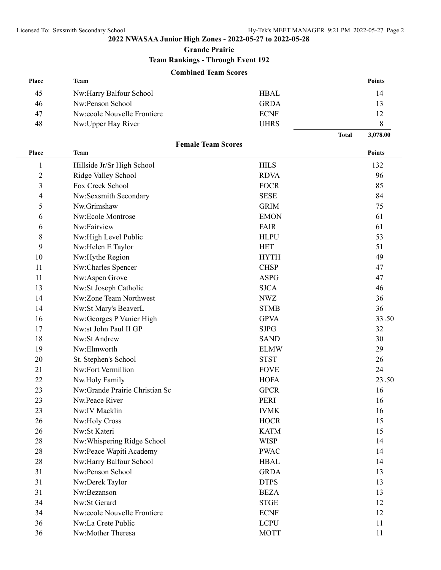**Grande Prairie**

**Team Rankings - Through Event 192**

#### **Combined Team Scores**

| Place          | Team                           |             |              | <b>Points</b> |
|----------------|--------------------------------|-------------|--------------|---------------|
| 45             | Nw:Harry Balfour School        | <b>HBAL</b> |              | 14            |
| 46             | Nw:Penson School               | <b>GRDA</b> |              | 13            |
| 47             | Nw:ecole Nouvelle Frontiere    | <b>ECNF</b> |              | 12            |
| 48             | Nw:Upper Hay River             | <b>UHRS</b> |              | 8             |
|                |                                |             | <b>Total</b> | 3,078.00      |
|                | <b>Female Team Scores</b>      |             |              |               |
| Place          | <b>Team</b>                    |             |              | <b>Points</b> |
| 1              | Hillside Jr/Sr High School     | <b>HILS</b> |              | 132           |
| $\overline{c}$ | Ridge Valley School            | <b>RDVA</b> |              | 96            |
| 3              | Fox Creek School               | <b>FOCR</b> |              | 85            |
| 4              | Nw:Sexsmith Secondary          | <b>SESE</b> |              | 84            |
| 5              | Nw.Grimshaw                    | <b>GRIM</b> |              | 75            |
| 6              | Nw:Ecole Montrose              | <b>EMON</b> |              | 61            |
| 6              | Nw:Fairview                    | <b>FAIR</b> |              | 61            |
| 8              | Nw:High Level Public           | <b>HLPU</b> |              | 53            |
| 9              | Nw:Helen E Taylor              | <b>HET</b>  |              | 51            |
| 10             | Nw:Hythe Region                | <b>HYTH</b> |              | 49            |
| 11             | Nw:Charles Spencer             | <b>CHSP</b> |              | 47            |
| 11             | Nw:Aspen Grove                 | <b>ASPG</b> |              | 47            |
| 13             | Nw:St Joseph Catholic          | <b>SJCA</b> |              | 46            |
| 14             | Nw:Zone Team Northwest         | <b>NWZ</b>  |              | 36            |
| 14             | Nw:St Mary's BeaverL           | <b>STMB</b> |              | 36            |
| 16             | Nw:Georges P Vanier High       | <b>GPVA</b> |              | 33.50         |
| 17             | Nw:st John Paul II GP          | <b>SJPG</b> |              | 32            |
| 18             | Nw:St Andrew                   | <b>SAND</b> |              | 30            |
| 19             | Nw:Elmworth                    | <b>ELMW</b> |              | 29            |
| 20             | St. Stephen's School           | <b>STST</b> |              | 26            |
| 21             | Nw:Fort Vermillion             | <b>FOVE</b> |              | 24            |
| 22             | Nw.Holy Family                 | <b>HOFA</b> |              | 23.50         |
| 23             | Nw:Grande Prairie Christian Sc | <b>GPCR</b> |              | 16            |
| 23             | Nw.Peace River                 | <b>PERI</b> |              | 16            |
| 23             | Nw:IV Macklin                  | <b>IVMK</b> |              | 16            |
| 26             | Nw:Holy Cross                  | <b>HOCR</b> |              | 15            |
| 26             | Nw:St Kateri                   | <b>KATM</b> |              | 15            |
| 28             | Nw:Whispering Ridge School     | <b>WISP</b> |              | 14            |
| 28             | Nw:Peace Wapiti Academy        | <b>PWAC</b> |              | 14            |
| 28             | Nw:Harry Balfour School        | <b>HBAL</b> |              | 14            |
| 31             | Nw:Penson School               | <b>GRDA</b> |              | 13            |
| 31             | Nw:Derek Taylor                | <b>DTPS</b> |              | 13            |
| 31             | Nw:Bezanson                    | <b>BEZA</b> |              | 13            |
| 34             | Nw:St Gerard                   | <b>STGE</b> |              | 12            |
| 34             | Nw:ecole Nouvelle Frontiere    | <b>ECNF</b> |              | 12            |
| 36             | Nw:La Crete Public             | <b>LCPU</b> |              | 11            |
| 36             | Nw:Mother Theresa              | <b>MOTT</b> |              | 11            |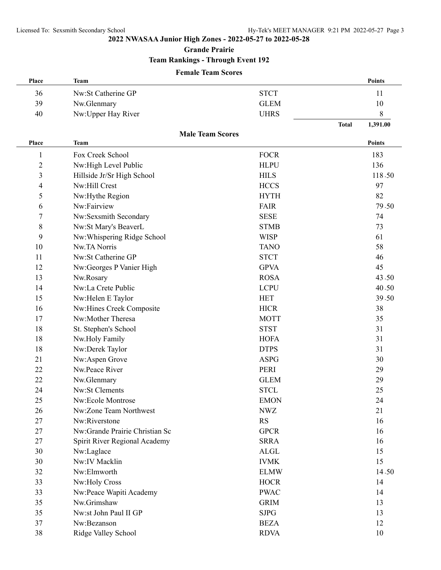**Grande Prairie**

# **Team Rankings - Through Event 192**

#### **Female Team Scores**

| Place                   | Team                                        |                            |              | Points        |
|-------------------------|---------------------------------------------|----------------------------|--------------|---------------|
| 36                      | Nw:St Catherine GP                          | <b>STCT</b>                |              | 11            |
| 39                      | Nw.Glenmary                                 | <b>GLEM</b>                |              | 10            |
| 40                      | Nw:Upper Hay River                          | <b>UHRS</b>                |              | 8             |
|                         |                                             |                            | <b>Total</b> | 1,391.00      |
| Place                   | <b>Male Team Scores</b><br>Team             |                            |              | <b>Points</b> |
|                         | Fox Creek School                            |                            |              |               |
| $\mathbf{1}$            |                                             | <b>FOCR</b>                |              | 183<br>136    |
| $\overline{2}$          | Nw:High Level Public                        | <b>HLPU</b><br><b>HILS</b> |              | 118.50        |
| $\overline{\mathbf{3}}$ | Hillside Jr/Sr High School<br>Nw:Hill Crest |                            |              |               |
| 4                       |                                             | <b>HCCS</b>                |              | 97            |
| 5                       | Nw:Hythe Region                             | <b>HYTH</b>                |              | 82            |
| 6                       | Nw:Fairview                                 | <b>FAIR</b>                |              | 79.50         |
| 7                       | Nw:Sexsmith Secondary                       | <b>SESE</b>                |              | 74            |
| 8                       | Nw:St Mary's BeaverL                        | <b>STMB</b>                |              | 73            |
| 9                       | Nw: Whispering Ridge School                 | <b>WISP</b>                |              | 61            |
| 10                      | Nw.TA Norris                                | <b>TANO</b>                |              | 58            |
| 11                      | Nw:St Catherine GP                          | <b>STCT</b>                |              | 46            |
| 12                      | Nw:Georges P Vanier High                    | <b>GPVA</b>                |              | 45            |
| 13                      | Nw.Rosary                                   | <b>ROSA</b>                |              | 43.50         |
| 14                      | Nw:La Crete Public                          | <b>LCPU</b>                |              | 40.50         |
| 15                      | Nw:Helen E Taylor                           | <b>HET</b>                 |              | 39.50         |
| 16                      | Nw:Hines Creek Composite                    | <b>HICR</b>                |              | 38            |
| 17                      | Nw:Mother Theresa                           | <b>MOTT</b>                |              | 35            |
| 18                      | St. Stephen's School                        | <b>STST</b>                |              | 31            |
| 18                      | Nw.Holy Family                              | <b>HOFA</b>                |              | 31            |
| 18                      | Nw:Derek Taylor                             | <b>DTPS</b>                |              | 31            |
| 21                      | Nw:Aspen Grove                              | <b>ASPG</b>                |              | 30            |
| 22                      | Nw.Peace River                              | PERI                       |              | 29            |
| 22                      | Nw.Glenmary                                 | <b>GLEM</b>                |              | 29            |
| 24                      | <b>Nw:St Clements</b>                       | <b>STCL</b>                |              | 25            |
| 25                      | Nw:Ecole Montrose                           | <b>EMON</b>                |              | 24            |
| 26                      | Nw:Zone Team Northwest                      | <b>NWZ</b>                 |              | 21            |
| 27                      | Nw:Riverstone                               | <b>RS</b>                  |              | 16            |
| 27                      | Nw:Grande Prairie Christian Sc              | <b>GPCR</b>                |              | 16            |
| 27                      | Spirit River Regional Academy               | <b>SRRA</b>                |              | 16            |
| 30                      | Nw:Laglace                                  | ALGL                       |              | 15            |
| 30                      | Nw:IV Macklin                               | <b>IVMK</b>                |              | 15            |
| 32                      | Nw:Elmworth                                 | <b>ELMW</b>                |              | 14.50         |
| 33                      | Nw:Holy Cross                               | <b>HOCR</b>                |              | 14            |
| 33                      | Nw:Peace Wapiti Academy                     | <b>PWAC</b>                |              | 14            |
| 35                      | Nw.Grimshaw                                 | <b>GRIM</b>                |              | 13            |
| 35                      | Nw:st John Paul II GP                       | ${\rm SJPG}$               |              | 13            |
| 37                      | Nw:Bezanson                                 | <b>BEZA</b>                |              | 12            |
| 38                      | Ridge Valley School                         | <b>RDVA</b>                |              | 10            |